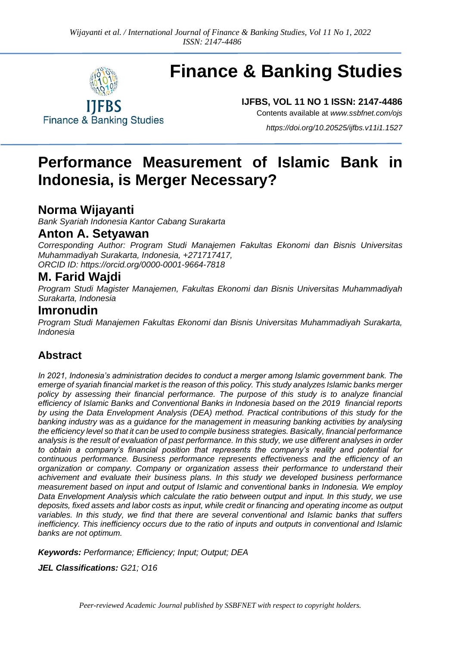

**Finance & Banking Studies** 

# **Finance & Banking Studies**

**IJFBS, VOL 11 NO 1 ISSN: 2147-4486** Contents available at *[www.ssbfnet.com/ojs](http://www.ssbfnet.com/ojs)*

*<https://doi.org/10.20525/ijfbs.v11i1.1527>*

# **Performance Measurement of Islamic Bank in Indonesia, is Merger Necessary?**

# **Norma Wijayanti**

*Bank Syariah Indonesia Kantor Cabang Surakarta*

### **Anton A. Setyawan**

*Corresponding Author: Program Studi Manajemen Fakultas Ekonomi dan Bisnis Universitas Muhammadiyah Surakarta, Indonesia, +271717417, ORCID ID: https://orcid.org/0000-0001-9664-7818*

# **M. Farid Wajdi**

*Program Studi Magister Manajemen, Fakultas Ekonomi dan Bisnis Universitas Muhammadiyah Surakarta, Indonesia*

### **Imronudin**

*Program Studi Manajemen Fakultas Ekonomi dan Bisnis Universitas Muhammadiyah Surakarta, Indonesia*

## **Abstract**

*In 2021, Indonesia's administration decides to conduct a merger among Islamic government bank. The emerge of syariah financial market is the reason of this policy. This study analyzes Islamic banks merger policy by assessing their financial performance. The purpose of this study is to analyze financial efficiency of Islamic Banks and Conventional Banks in Indonesia based on the 2019 financial reports by using the Data Envelopment Analysis (DEA) method. Practical contributions of this study for the banking industry was as a guidance for the management in measuring banking activities by analysing the efficiency level so that it can be used to compile business strategies. Basically, financial performance analysis is the result of evaluation of past performance. In this study, we use different analyses in order to obtain a company's financial position that represents the company's reality and potential for continuous performance. Business performance represents effectiveness and the efficiency of an organization or company. Company or organization assess their performance to understand their achivement and evaluate their business plans. In this study we developed business performance measurement based on input and output of Islamic and conventional banks in Indonesia. We employ Data Envelopment Analysis which calculate the ratio between output and input. In this study, we use deposits, fixed assets and labor costs as input, while credit or financing and operating income as output variables. In this study, we find that there are several conventional and Islamic banks that suffers inefficiency. This inefficiency occurs due to the ratio of inputs and outputs in conventional and Islamic banks are not optimum.*

*Keywords: Performance; Efficiency; Input; Output; DEA*

*JEL Classifications: G21; O16*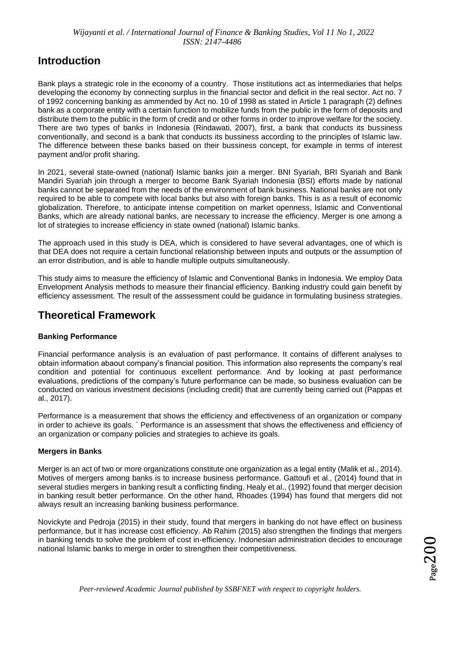# **Introduction**

Bank plays a strategic role in the economy of a country. Those institutions act as intermediaries that helps developing the economy by connecting surplus in the financial sector and deficit in the real sector. Act no. 7 of 1992 concerning banking as ammended by Act no. 10 of 1998 as stated in Article 1 paragraph (2) defines bank as a corporate entity with a certain function to mobilize funds from the public in the form of deposits and distribute them to the public in the form of credit and or other forms in order to improve welfare for the society. There are two types of banks in Indonesia (Rindawati, 2007), first, a bank that conducts its bussiness conventionally, and second is a bank that conducts its bussiness according to the principles of Islamic law. The difference between these banks based on their bussiness concept, for example in terms of interest payment and/or profit sharing.

In 2021, several state-owned (national) Islamic banks join a merger. BNI Syariah, BRI Syariah and Bank Mandiri Syariah join through a merger to become Bank Syariah Indonesia (BSI) efforts made by national banks cannot be separated from the needs of the environment of bank business. National banks are not only required to be able to compete with local banks but also with foreign banks. This is as a result of economic globalization. Therefore, to anticipate intense competition on market openness, Islamic and Conventional Banks, which are already national banks, are necessary to increase the efficiency. Merger is one among a lot of strategies to increase efficiency in state owned (national) Islamic banks.

The approach used in this study is DEA, which is considered to have several advantages, one of which is that DEA does not require a certain functional relationship between inputs and outputs or the assumption of an error distribution, and is able to handle multiple outputs simultaneously.

This study aims to measure the efficiency of Islamic and Conventional Banks in Indonesia. We employ Data Envelopment Analysis methods to measure their financial efficiency. Banking industry could gain benefit by efficiency assessment. The result of the asssessment could be guidance in formulating business strategies.

# **Theoretical Framework**

#### **Banking Performance**

Financial performance analysis is an evaluation of past performance. It contains of different analyses to obtain information abaout company's financial position. This information also represents the company's real condition and potential for continuous excellent performance. And by looking at past performance evaluations, predictions of the company's future performance can be made, so business evaluation can be conducted on various investment decisions (including credit) that are currently being carried out (Pappas et al., 2017).

Performance is a measurement that shows the efficiency and effectiveness of an organization or company in order to achieve its goals. ` Performance is an assessment that shows the effectiveness and efficiency of an organization or company policies and strategies to achieve its goals.

#### **Mergers in Banks**

Merger is an act of two or more organizations constitute one organization as a legal entity (Malik et al., 2014). Motives of mergers among banks is to increase business performance. Gattoufi et al., (2014) found that in several studies mergers in banking result a conflicting finding. Healy et al., (1992) found that merger decision in banking result better performance. On the other hand, Rhoades (1994) has found that mergers did not always result an increasing banking business performance.

Novickyte and Pedroja (2015) in their study, found that mergers in banking do not have effect on business performance, but it has increase cost efficiency. Ab Rahim (2015) also strengthen the findings that mergers in banking tends to solve the problem of cost in-efficiency. Indonesian administration decides to encourage national Islamic banks to merge in order to strengthen their competitiveness.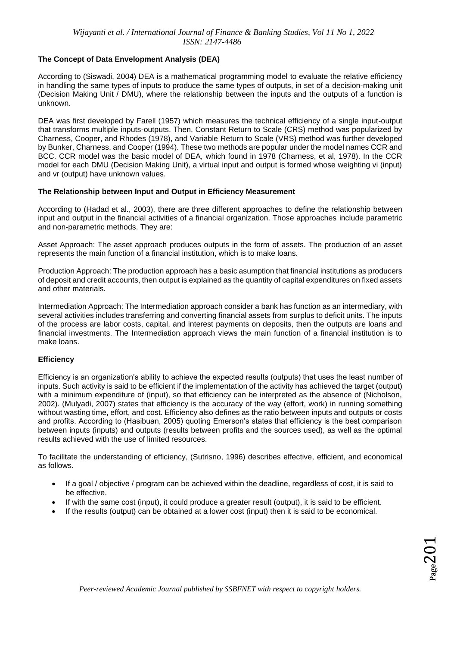#### **The Concept of Data Envelopment Analysis (DEA)**

According to (Siswadi, 2004) DEA is a mathematical programming model to evaluate the relative efficiency in handling the same types of inputs to produce the same types of outputs, in set of a decision-making unit (Decision Making Unit / DMU), where the relationship between the inputs and the outputs of a function is unknown.

DEA was first developed by Farell (1957) which measures the technical efficiency of a single input-output that transforms multiple inputs-outputs. Then, Constant Return to Scale (CRS) method was popularized by Charness, Cooper, and Rhodes (1978), and Variable Return to Scale (VRS) method was further developed by Bunker, Charness, and Cooper (1994). These two methods are popular under the model names CCR and BCC. CCR model was the basic model of DEA, which found in 1978 (Charness, et al, 1978). In the CCR model for each DMU (Decision Making Unit), a virtual input and output is formed whose weighting vi (input) and vr (output) have unknown values.

#### **The Relationship between Input and Output in Efficiency Measurement**

According to (Hadad et al., 2003), there are three different approaches to define the relationship between input and output in the financial activities of a financial organization. Those approaches include parametric and non-parametric methods. They are:

Asset Approach: The asset approach produces outputs in the form of assets. The production of an asset represents the main function of a financial institution, which is to make loans.

Production Approach: The production approach has a basic asumption that financial institutions as producers of deposit and credit accounts, then output is explained as the quantity of capital expenditures on fixed assets and other materials.

Intermediation Approach: The Intermediation approach consider a bank has function as an intermediary, with several activities includes transferring and converting financial assets from surplus to deficit units. The inputs of the process are labor costs, capital, and interest payments on deposits, then the outputs are loans and financial investments. The Intermediation approach views the main function of a financial institution is to make loans.

#### **Efficiency**

Efficiency is an organization's ability to achieve the expected results (outputs) that uses the least number of inputs. Such activity is said to be efficient if the implementation of the activity has achieved the target (output) with a minimum expenditure of (input), so that efficiency can be interpreted as the absence of (Nicholson, 2002). (Mulyadi, 2007) states that efficiency is the accuracy of the way (effort, work) in running something without wasting time, effort, and cost. Efficiency also defines as the ratio between inputs and outputs or costs and profits. According to (Hasibuan, 2005) quoting Emerson's states that efficiency is the best comparison between inputs (inputs) and outputs (results between profits and the sources used), as well as the optimal results achieved with the use of limited resources.

To facilitate the understanding of efficiency, (Sutrisno, 1996) describes effective, efficient, and economical as follows.

- If a goal / objective / program can be achieved within the deadline, regardless of cost, it is said to be effective.
- If with the same cost (input), it could produce a greater result (output), it is said to be efficient.
- If the results (output) can be obtained at a lower cost (input) then it is said to be economical.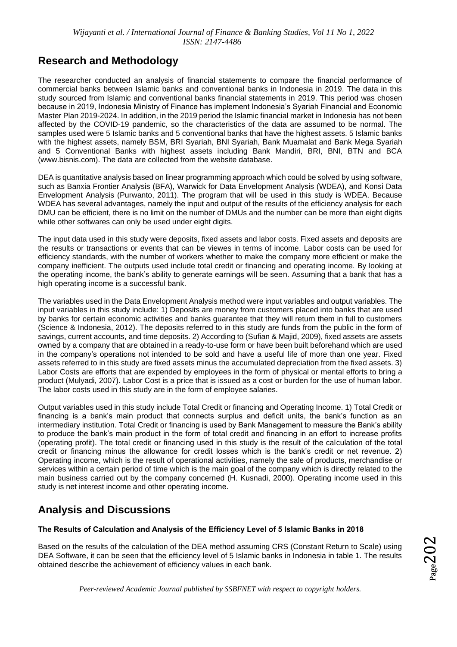# **Research and Methodology**

The researcher conducted an analysis of financial statements to compare the financial performance of commercial banks between Islamic banks and conventional banks in Indonesia in 2019. The data in this study sourced from Islamic and conventional banks financial statements in 2019. This period was chosen because in 2019, Indonesia Ministry of Finance has implement Indonesia's Syariah Financial and Economic Master Plan 2019-2024. In addition, in the 2019 period the Islamic financial market in Indonesia has not been affected by the COVID-19 pandemic, so the characteristics of the data are assumed to be normal. The samples used were 5 Islamic banks and 5 conventional banks that have the highest assets. 5 Islamic banks with the highest assets, namely BSM, BRI Syariah, BNI Syariah, Bank Muamalat and Bank Mega Syariah and 5 Conventional Banks with highest assets including Bank Mandiri, BRI, BNI, BTN and BCA (www.bisnis.com). The data are collected from the website database.

DEA is quantitative analysis based on linear programming approach which could be solved by using software, such as Banxia Frontier Analysis (BFA), Warwick for Data Envelopment Analysis (WDEA), and Konsi Data Envelopment Analysis (Purwanto, 2011). The program that will be used in this study is WDEA. Because WDEA has several advantages, namely the input and output of the results of the efficiency analysis for each DMU can be efficient, there is no limit on the number of DMUs and the number can be more than eight digits while other softwares can only be used under eight digits.

The input data used in this study were deposits, fixed assets and labor costs. Fixed assets and deposits are the results or transactions or events that can be viewes in terms of income. Labor costs can be used for efficiency standards, with the number of workers whether to make the company more efficient or make the company inefficient. The outputs used include total credit or financing and operating income. By looking at the operating income, the bank's ability to generate earnings will be seen. Assuming that a bank that has a high operating income is a successful bank.

The variables used in the Data Envelopment Analysis method were input variables and output variables. The input variables in this study include: 1) Deposits are money from customers placed into banks that are used by banks for certain economic activities and banks guarantee that they will return them in full to customers (Science & Indonesia, 2012). The deposits referred to in this study are funds from the public in the form of savings, current accounts, and time deposits. 2) According to (Sufian & Majid, 2009), fixed assets are assets owned by a company that are obtained in a ready-to-use form or have been built beforehand which are used in the company's operations not intended to be sold and have a useful life of more than one year. Fixed assets referred to in this study are fixed assets minus the accumulated depreciation from the fixed assets. 3) Labor Costs are efforts that are expended by employees in the form of physical or mental efforts to bring a product (Mulyadi, 2007). Labor Cost is a price that is issued as a cost or burden for the use of human labor. The labor costs used in this study are in the form of employee salaries.

Output variables used in this study include Total Credit or financing and Operating Income. 1) Total Credit or financing is a bank's main product that connects surplus and deficit units, the bank's function as an intermediary institution. Total Credit or financing is used by Bank Management to measure the Bank's ability to produce the bank's main product in the form of total credit and financing in an effort to increase profits (operating profit). The total credit or financing used in this study is the result of the calculation of the total credit or financing minus the allowance for credit losses which is the bank's credit or net revenue. 2) Operating income, which is the result of operational activities, namely the sale of products, merchandise or services within a certain period of time which is the main goal of the company which is directly related to the main business carried out by the company concerned (H. Kusnadi, 2000). Operating income used in this study is net interest income and other operating income.

# **Analysis and Discussions**

#### **The Results of Calculation and Analysis of the Efficiency Level of 5 Islamic Banks in 2018**

Based on the results of the calculation of the DEA method assuming CRS (Constant Return to Scale) using DEA Software, it can be seen that the efficiency level of 5 Islamic banks in Indonesia in table 1. The results obtained describe the achievement of efficiency values in each bank.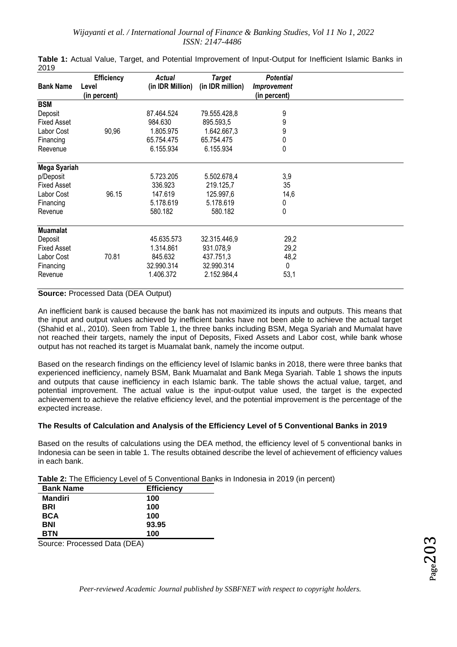|                    | <b>Efficiency</b> | <b>Actual</b>    | <b>Target</b>    | <b>Potential</b>   |  |
|--------------------|-------------------|------------------|------------------|--------------------|--|
| <b>Bank Name</b>   | Level             | (in IDR Million) | (in IDR million) | <i>Improvement</i> |  |
|                    | (in percent)      |                  |                  | (in percent)       |  |
| <b>BSM</b>         |                   |                  |                  |                    |  |
| Deposit            |                   | 87.464.524       | 79.555.428,8     | 9                  |  |
| <b>Fixed Asset</b> |                   | 984.630          | 895.593,5        | 9                  |  |
| Labor Cost         | 90,96             | 1.805.975        | 1.642.667,3      | 9                  |  |
| Financing          |                   | 65.754.475       | 65.754.475       | $\pmb{0}$          |  |
| Reevenue           |                   | 6.155.934        | 6.155.934        | $\mathbf 0$        |  |
| Mega Syariah       |                   |                  |                  |                    |  |
| p/Deposit          |                   | 5.723.205        | 5.502.678,4      | 3,9                |  |
| <b>Fixed Asset</b> |                   | 336.923          | 219.125,7        | 35                 |  |
| Labor Cost         | 96.15             | 147.619          | 125.997,6        | 14,6               |  |
| Financing          |                   | 5.178.619        | 5.178.619        | 0                  |  |
| Revenue            |                   | 580.182          | 580.182          | 0                  |  |
| <b>Muamalat</b>    |                   |                  |                  |                    |  |
| Deposit            |                   | 45.635.573       | 32.315.446,9     | 29,2               |  |
| <b>Fixed Asset</b> |                   | 1.314.861        | 931.078,9        | 29,2               |  |
| Labor Cost         | 70.81             | 845.632          | 437.751,3        | 48,2               |  |
| Financing          |                   | 32.990.314       | 32.990.314       | 0                  |  |
| Revenue            |                   | 1.406.372        | 2.152.984,4      | 53,1               |  |

**Table 1:** Actual Value, Target, and Potential Improvement of Input-Output for Inefficient Islamic Banks in 2019

#### **Source:** Processed Data (DEA Output)

An inefficient bank is caused because the bank has not maximized its inputs and outputs. This means that the input and output values achieved by inefficient banks have not been able to achieve the actual target (Shahid et al., 2010). Seen from Table 1, the three banks including BSM, Mega Syariah and Mumalat have not reached their targets, namely the input of Deposits, Fixed Assets and Labor cost, while bank whose output has not reached its target is Muamalat bank, namely the income output.

Based on the research findings on the efficiency level of Islamic banks in 2018, there were three banks that experienced inefficiency, namely BSM, Bank Muamalat and Bank Mega Syariah. Table 1 shows the inputs and outputs that cause inefficiency in each Islamic bank. The table shows the actual value, target, and potential improvement. The actual value is the input-output value used, the target is the expected achievement to achieve the relative efficiency level, and the potential improvement is the percentage of the expected increase.

#### **The Results of Calculation and Analysis of the Efficiency Level of 5 Conventional Banks in 2019**

Based on the results of calculations using the DEA method, the efficiency level of 5 conventional banks in Indonesia can be seen in table 1. The results obtained describe the level of achievement of efficiency values in each bank.

**Table 2:** The Efficiency Level of 5 Conventional Banks in Indonesia in 2019 (in percent)

| <b>Bank Name</b> | <b>Efficiency</b> |
|------------------|-------------------|
| <b>Mandiri</b>   | 100               |
| BRI              | 100               |
| <b>BCA</b>       | 100               |
| <b>BNI</b>       | 93.95             |
| BTN              | 100               |

Source: Processed Data (DEA)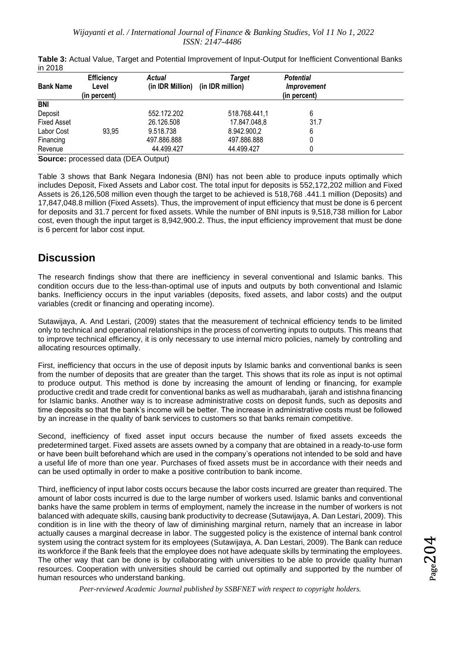| <b>Bank Name</b>   | Efficiency<br>Level<br>(in percent) | Actual<br>(in IDR Million) | Target<br>(in IDR million) | <b>Potential</b><br><i>Improvement</i><br>(in percent) |  |
|--------------------|-------------------------------------|----------------------------|----------------------------|--------------------------------------------------------|--|
| <b>BNI</b>         |                                     |                            |                            |                                                        |  |
| Deposit            |                                     | 552.172.202                | 518.768.441,1              | 6                                                      |  |
| <b>Fixed Asset</b> |                                     | 26.126.508                 | 17.847.048,8               | 31.7                                                   |  |
| Labor Cost         | 93,95                               | 9.518.738                  | 8.942.900,2                | 6                                                      |  |
| Financing          |                                     | 497.886.888                | 497.886.888                |                                                        |  |
| Revenue            |                                     | 44.499.427                 | 44.499.427                 |                                                        |  |

**Table 3:** Actual Value, Target and Potential Improvement of Input-Output for Inefficient Conventional Banks in 2018

**Source:** processed data (DEA Output)

Table 3 shows that Bank Negara Indonesia (BNI) has not been able to produce inputs optimally which includes Deposit, Fixed Assets and Labor cost. The total input for deposits is 552,172,202 million and Fixed Assets is 26,126,508 million even though the target to be achieved is 518,768 .441.1 million (Deposits) and 17,847,048.8 million (Fixed Assets). Thus, the improvement of input efficiency that must be done is 6 percent for deposits and 31.7 percent for fixed assets. While the number of BNI inputs is 9,518,738 million for Labor cost, even though the input target is 8,942,900.2. Thus, the input efficiency improvement that must be done is 6 percent for labor cost input.

### **Discussion**

The research findings show that there are inefficiency in several conventional and Islamic banks. This condition occurs due to the less-than-optimal use of inputs and outputs by both conventional and Islamic banks. Inefficiency occurs in the input variables (deposits, fixed assets, and labor costs) and the output variables (credit or financing and operating income).

Sutawijaya, A. And Lestari, (2009) states that the measurement of technical efficiency tends to be limited only to technical and operational relationships in the process of converting inputs to outputs. This means that to improve technical efficiency, it is only necessary to use internal micro policies, namely by controlling and allocating resources optimally.

First, inefficiency that occurs in the use of deposit inputs by Islamic banks and conventional banks is seen from the number of deposits that are greater than the target. This shows that its role as input is not optimal to produce output. This method is done by increasing the amount of lending or financing, for example productive credit and trade credit for conventional banks as well as mudharabah, ijarah and istishna financing for Islamic banks. Another way is to increase administrative costs on deposit funds, such as deposits and time deposits so that the bank's income will be better. The increase in administrative costs must be followed by an increase in the quality of bank services to customers so that banks remain competitive.

Second, inefficiency of fixed asset input occurs because the number of fixed assets exceeds the predetermined target. Fixed assets are assets owned by a company that are obtained in a ready-to-use form or have been built beforehand which are used in the company's operations not intended to be sold and have a useful life of more than one year. Purchases of fixed assets must be in accordance with their needs and can be used optimally in order to make a positive contribution to bank income.

Third, inefficiency of input labor costs occurs because the labor costs incurred are greater than required. The amount of labor costs incurred is due to the large number of workers used. Islamic banks and conventional banks have the same problem in terms of employment, namely the increase in the number of workers is not balanced with adequate skills, causing bank productivity to decrease (Sutawijaya, A. Dan Lestari, 2009). This condition is in line with the theory of law of diminishing marginal return, namely that an increase in labor actually causes a marginal decrease in labor. The suggested policy is the existence of internal bank control system using the contract system for its employees (Sutawijaya, A. Dan Lestari, 2009). The Bank can reduce its workforce if the Bank feels that the employee does not have adequate skills by terminating the employees. The other way that can be done is by collaborating with universities to be able to provide quality human resources. Cooperation with universities should be carried out optimally and supported by the number of human resources who understand banking.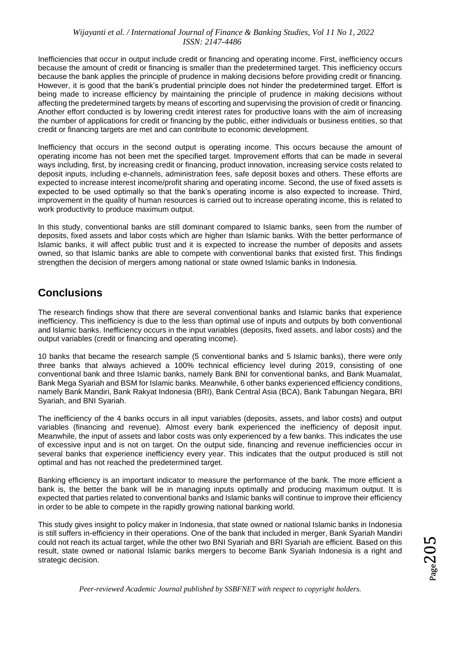#### *Wijayanti et al. / International Journal of Finance & Banking Studies, Vol 11 No 1, 2022 ISSN: 2147-4486*

Inefficiencies that occur in output include credit or financing and operating income. First, inefficiency occurs because the amount of credit or financing is smaller than the predetermined target. This inefficiency occurs because the bank applies the principle of prudence in making decisions before providing credit or financing. However, it is good that the bank's prudential principle does not hinder the predetermined target. Effort is being made to increase efficiency by maintaining the principle of prudence in making decisions without affecting the predetermined targets by means of escorting and supervising the provision of credit or financing. Another effort conducted is by lowering credit interest rates for productive loans with the aim of increasing the number of applications for credit or financing by the public, either individuals or business entities, so that credit or financing targets are met and can contribute to economic development.

Inefficiency that occurs in the second output is operating income. This occurs because the amount of operating income has not been met the specified target. Improvement efforts that can be made in several ways including, first, by increasing credit or financing, product innovation, increasing service costs related to deposit inputs, including e-channels, administration fees, safe deposit boxes and others. These efforts are expected to increase interest income/profit sharing and operating income. Second, the use of fixed assets is expected to be used optimally so that the bank's operating income is also expected to increase. Third, improvement in the quality of human resources is carried out to increase operating income, this is related to work productivity to produce maximum output.

In this study, conventional banks are still dominant compared to Islamic banks, seen from the number of deposits, fixed assets and labor costs which are higher than Islamic banks. With the better performance of Islamic banks, it will affect public trust and it is expected to increase the number of deposits and assets owned, so that Islamic banks are able to compete with conventional banks that existed first. This findings strengthen the decision of mergers among national or state owned Islamic banks in Indonesia.

# **Conclusions**

The research findings show that there are several conventional banks and Islamic banks that experience inefficiency. This inefficiency is due to the less than optimal use of inputs and outputs by both conventional and Islamic banks. Inefficiency occurs in the input variables (deposits, fixed assets, and labor costs) and the output variables (credit or financing and operating income).

10 banks that became the research sample (5 conventional banks and 5 Islamic banks), there were only three banks that always achieved a 100% technical efficiency level during 2019, consisting of one conventional bank and three Islamic banks, namely Bank BNI for conventional banks, and Bank Muamalat, Bank Mega Syariah and BSM for Islamic banks. Meanwhile, 6 other banks experienced efficiency conditions, namely Bank Mandiri, Bank Rakyat Indonesia (BRI), Bank Central Asia (BCA), Bank Tabungan Negara, BRI Syariah, and BNI Syariah.

The inefficiency of the 4 banks occurs in all input variables (deposits, assets, and labor costs) and output variables (financing and revenue). Almost every bank experienced the inefficiency of deposit input. Meanwhile, the input of assets and labor costs was only experienced by a few banks. This indicates the use of excessive input and is not on target. On the output side, financing and revenue inefficiencies occur in several banks that experience inefficiency every year. This indicates that the output produced is still not optimal and has not reached the predetermined target.

Banking efficiency is an important indicator to measure the performance of the bank. The more efficient a bank is, the better the bank will be in managing inputs optimally and producing maximum output. It is expected that parties related to conventional banks and Islamic banks will continue to improve their efficiency in order to be able to compete in the rapidly growing national banking world.

This study gives insight to policy maker in Indonesia, that state owned or national Islamic banks in Indonesia is still suffers in-efficiency in their operations. One of the bank that included in merger, Bank Syariah Mandiri could not reach its actual target, while the other two BNI Syariah and BRI Syariah are efficient. Based on this result, state owned or national Islamic banks mergers to become Bank Syariah Indonesia is a right and strategic decision.